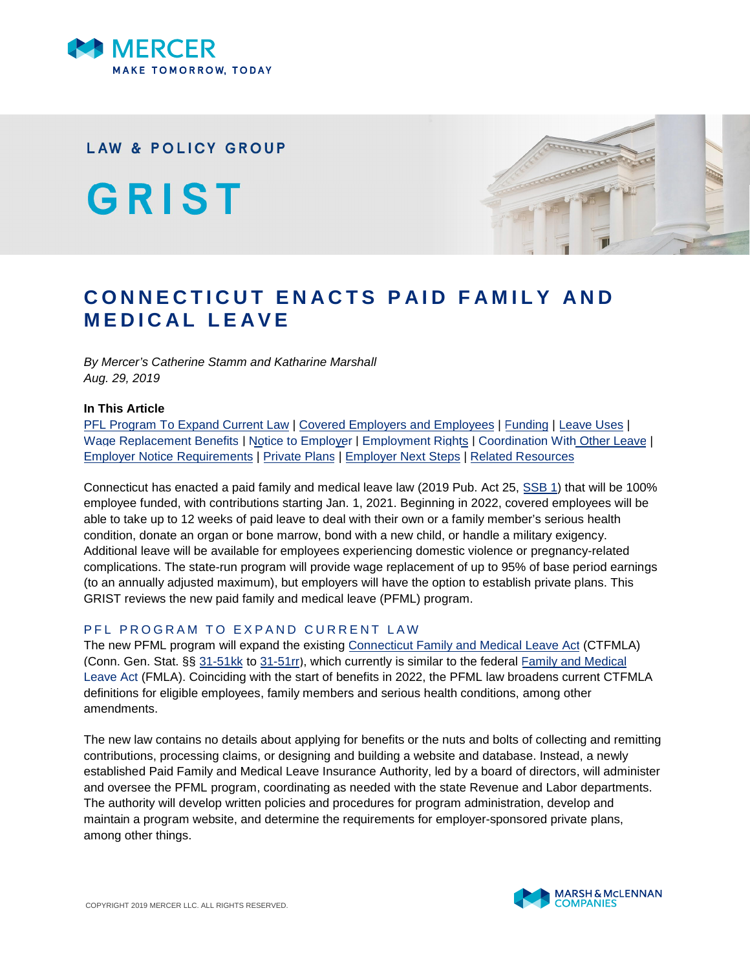

**LAW & POLICY GROUP** 

GRIST



# **CONNECTICUT ENACTS PAID FAMILY AND MEDICAL LEAVE**

*By Mercer's Catherine Stamm and Katharine Marshall Aug. 29, 2019*

#### **In This Article**

[PFL Program To Expand Current Law](#page-0-0) | [Covered Employers and Employees](#page-1-0) | [Funding](#page-1-1) | [Leave Uses](#page-1-2) | [Wage Replacement Benefits](#page-3-0) | [Notice to Employer](#page-4-0) | [Employment Rights](#page-4-1) | [Coordination With Other Leave](#page-4-2) | [Employer Notice Requirements](#page-5-0) | [Private Plans](#page-5-1) | [Employer Next Steps](#page-6-0) | [Related Resources](#page-6-1)

Connecticut has enacted a paid family and medical leave law (2019 Pub. Act 25, [SSB 1](https://www.cga.ct.gov/2019/ACT/pa/pdf/2019PA-00025-R00SB-00001-PA.pdf)) that will be 100% employee funded, with contributions starting Jan. 1, 2021. Beginning in 2022, covered employees will be able to take up to 12 weeks of paid leave to deal with their own or a family member's serious health condition, donate an organ or bone marrow, bond with a new child, or handle a military exigency. Additional leave will be available for employees experiencing domestic violence or pregnancy-related complications. The state-run program will provide wage replacement of up to 95% of base period earnings (to an annually adjusted maximum), but employers will have the option to establish private plans. This GRIST reviews the new paid family and medical leave (PFML) program.

## <span id="page-0-0"></span>P F L P R O G R A M T O E X P A N D C U R R E N T L A W

The new PFML program will expand the existing [Connecticut Family and Medical Leave Act](https://www.ctdol.state.ct.us/wgwkstnd/fmla.htm) (CTFMLA) (Conn. Gen. Stat. §§ [31-51kk](https://www.cga.ct.gov/current/pub/chap_557.htm#sec_31-51kk) to [31-51rr\)](https://www.cga.ct.gov/current/pub/chap_557.htm#sec_31-51rr), which currently is similar to the federal [Family and Medical](https://www.dol.gov/general/topic/benefits-leave/fmla) [Leave Act](https://www.dol.gov/general/topic/benefits-leave/fmla) (FMLA). Coinciding with the start of benefits in 2022, the PFML law broadens current CTFMLA definitions for eligible employees, family members and serious health conditions, among other amendments.

The new law contains no details about applying for benefits or the nuts and bolts of collecting and remitting contributions, processing claims, or designing and building a website and database. Instead, a newly established Paid Family and Medical Leave Insurance Authority, led by a board of directors, will administer and oversee the PFML program, coordinating as needed with the state Revenue and Labor departments. The authority will develop written policies and procedures for program administration, develop and maintain a program website, and determine the requirements for employer-sponsored private plans, among other things.

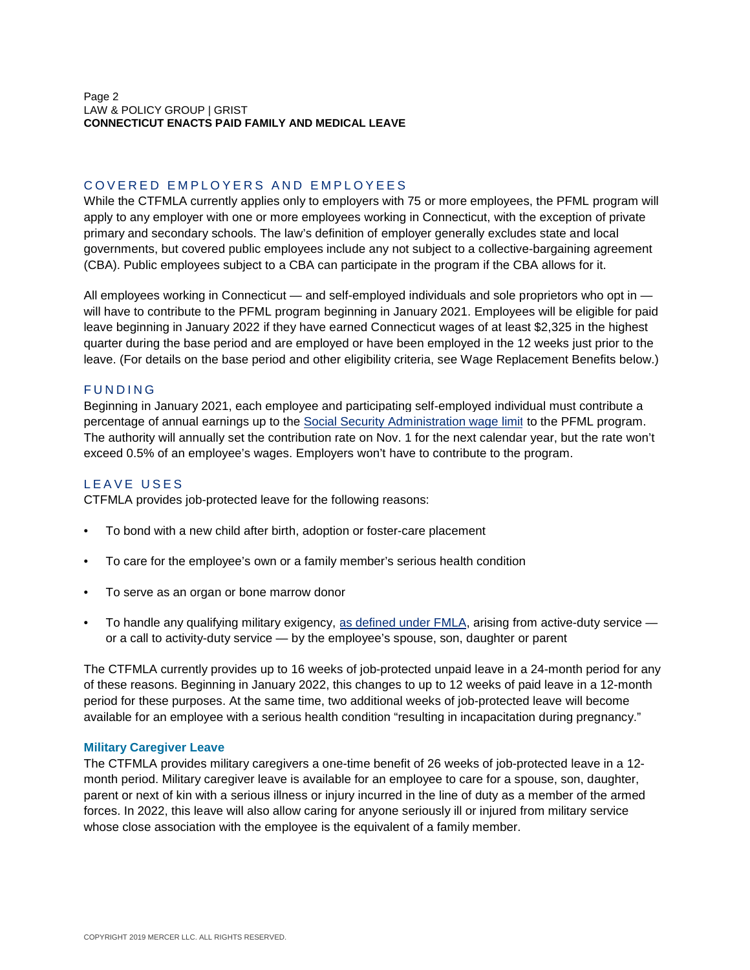Page 2 LAW & POLICY GROUP | GRIST **CONNECTICUT ENACTS PAID FAMILY AND MEDICAL LEAVE**

## <span id="page-1-0"></span>COVERED EMPLOYERS AND EMPLOYEES

While the CTFMLA currently applies only to employers with 75 or more employees, the PFML program will apply to any employer with one or more employees working in Connecticut, with the exception of private primary and secondary schools. The law's definition of employer generally excludes state and local governments, but covered public employees include any not subject to a collective-bargaining agreement (CBA). Public employees subject to a CBA can participate in the program if the CBA allows for it.

All employees working in Connecticut — and self-employed individuals and sole proprietors who opt in will have to contribute to the PFML program beginning in January 2021. Employees will be eligible for paid leave beginning in January 2022 if they have earned Connecticut wages of at least \$2,325 in the highest quarter during the base period and are employed or have been employed in the 12 weeks just prior to the leave. (For details on the base period and other eligibility criteria, see Wage Replacement Benefits below.)

## <span id="page-1-1"></span>**FUNDING**

Beginning in January 2021, each employee and participating self-employed individual must contribute a percentage of annual earnings up to the [Social Security Administration wage limit](https://www.ssa.gov/OACT/COLA/cbb.html) to the PFML program. The authority will annually set the contribution rate on Nov. 1 for the next calendar year, but the rate won't exceed 0.5% of an employee's wages. Employers won't have to contribute to the program.

## <span id="page-1-2"></span>LEAVE USES

CTFMLA provides job-protected leave for the following reasons:

- To bond with a new child after birth, adoption or foster-care placement
- To care for the employee's own or a family member's serious health condition
- To serve as an organ or bone marrow donor
- To handle any qualifying military exigency, [as defined under FMLA](https://www.dol.gov/whd/regs/compliance/whdfs28mc.pdf), arising from active-duty service or a call to activity-duty service — by the employee's spouse, son, daughter or parent

The CTFMLA currently provides up to 16 weeks of job-protected unpaid leave in a 24-month period for any of these reasons. Beginning in January 2022, this changes to up to 12 weeks of paid leave in a 12-month period for these purposes. At the same time, two additional weeks of job-protected leave will become available for an employee with a serious health condition "resulting in incapacitation during pregnancy."

#### **Military Caregiver Leave**

The CTFMLA provides military caregivers a one-time benefit of 26 weeks of job-protected leave in a 12 month period. Military caregiver leave is available for an employee to care for a spouse, son, daughter, parent or next of kin with a serious illness or injury incurred in the line of duty as a member of the armed forces. In 2022, this leave will also allow caring for anyone seriously ill or injured from military service whose close association with the employee is the equivalent of a family member.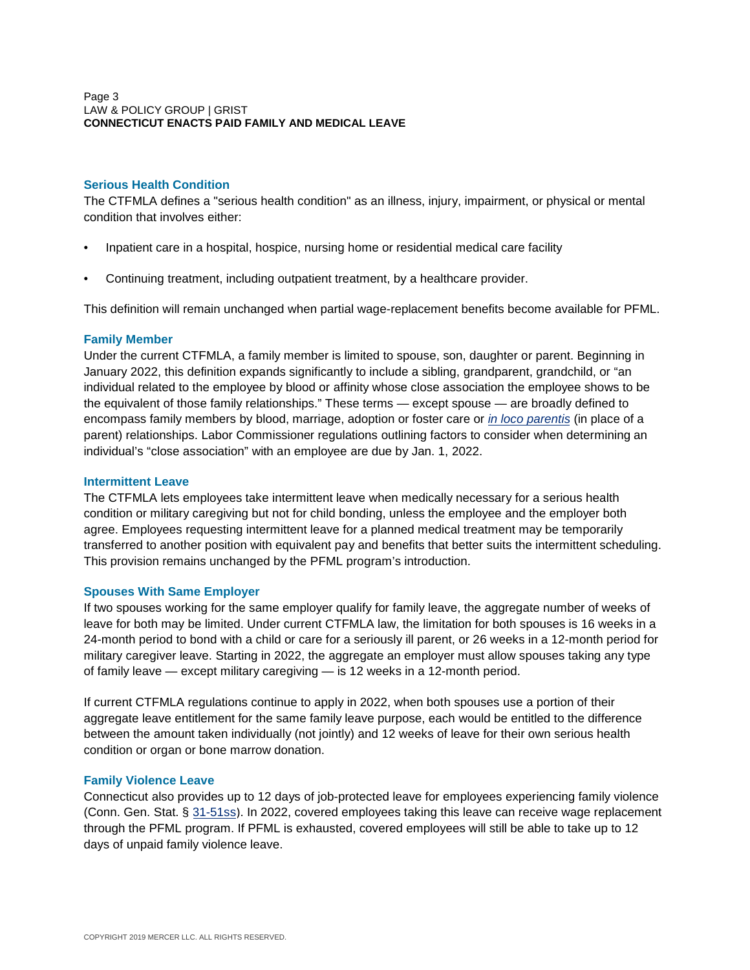## **Serious Health Condition**

The CTFMLA defines a "serious health condition" as an illness, injury, impairment, or physical or mental condition that involves either:

- Inpatient care in a hospital, hospice, nursing home or residential medical care facility
- Continuing treatment, including outpatient treatment, by a healthcare provider.

This definition will remain unchanged when partial wage-replacement benefits become available for PFML.

## **Family Member**

Under the current CTFMLA, a family member is limited to spouse, son, daughter or parent. Beginning in January 2022, this definition expands significantly to include a sibling, grandparent, grandchild, or "an individual related to the employee by blood or affinity whose close association the employee shows to be the equivalent of those family relationships." These terms — except spouse — are broadly defined to encompass family members by blood, marriage, adoption or foster care or *[in loco parentis](https://www.dol.gov/whd/regs/compliance/whdfs28B.htm)* (in place of a parent) relationships. Labor Commissioner regulations outlining factors to consider when determining an individual's "close association" with an employee are due by Jan. 1, 2022.

## **Intermittent Leave**

The CTFMLA lets employees take intermittent leave when medically necessary for a serious health condition or military caregiving but not for child bonding, unless the employee and the employer both agree. Employees requesting intermittent leave for a planned medical treatment may be temporarily transferred to another position with equivalent pay and benefits that better suits the intermittent scheduling. This provision remains unchanged by the PFML program's introduction.

#### **Spouses With Same Employer**

If two spouses working for the same employer qualify for family leave, the aggregate number of weeks of leave for both may be limited. Under current CTFMLA law, the limitation for both spouses is 16 weeks in a 24-month period to bond with a child or care for a seriously ill parent, or 26 weeks in a 12-month period for military caregiver leave. Starting in 2022, the aggregate an employer must allow spouses taking any type of family leave — except military caregiving — is 12 weeks in a 12-month period.

If current CTFMLA regulations continue to apply in 2022, when both spouses use a portion of their aggregate leave entitlement for the same family leave purpose, each would be entitled to the difference between the amount taken individually (not jointly) and 12 weeks of leave for their own serious health condition or organ or bone marrow donation.

# **Family Violence Leave**

Connecticut also provides up to 12 days of job-protected leave for employees experiencing family violence (Conn. Gen. Stat. § [31-51ss\)](https://www.cga.ct.gov/current/pub/chap_557.htm#sec_31-51ss). In 2022, covered employees taking this leave can receive wage replacement through the PFML program. If PFML is exhausted, covered employees will still be able to take up to 12 days of unpaid family violence leave.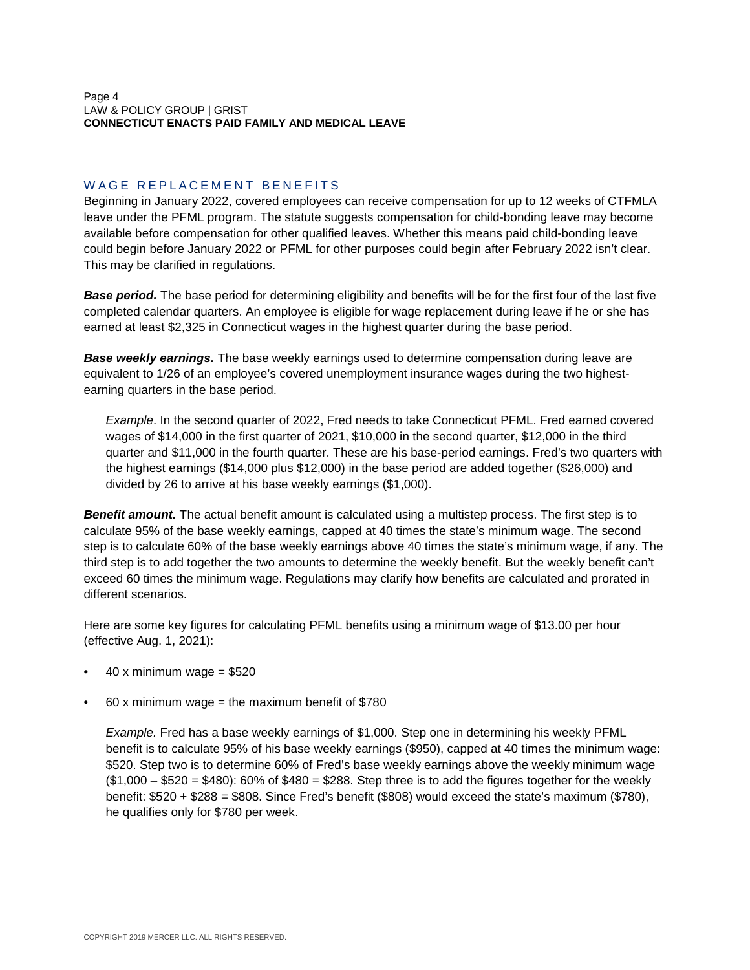# <span id="page-3-0"></span>WAGE REPLACEMENT BENEFITS

Beginning in January 2022, covered employees can receive compensation for up to 12 weeks of CTFMLA leave under the PFML program. The statute suggests compensation for child-bonding leave may become available before compensation for other qualified leaves. Whether this means paid child-bonding leave could begin before January 2022 or PFML for other purposes could begin after February 2022 isn't clear. This may be clarified in regulations.

*Base period.* The base period for determining eligibility and benefits will be for the first four of the last five completed calendar quarters. An employee is eligible for wage replacement during leave if he or she has earned at least \$2,325 in Connecticut wages in the highest quarter during the base period.

*Base weekly earnings.* The base weekly earnings used to determine compensation during leave are equivalent to 1/26 of an employee's covered unemployment insurance wages during the two highestearning quarters in the base period.

*Example*. In the second quarter of 2022, Fred needs to take Connecticut PFML. Fred earned covered wages of \$14,000 in the first quarter of 2021, \$10,000 in the second quarter, \$12,000 in the third quarter and \$11,000 in the fourth quarter. These are his base-period earnings. Fred's two quarters with the highest earnings (\$14,000 plus \$12,000) in the base period are added together (\$26,000) and divided by 26 to arrive at his base weekly earnings (\$1,000).

**Benefit amount.** The actual benefit amount is calculated using a multistep process. The first step is to calculate 95% of the base weekly earnings, capped at 40 times the state's minimum wage. The second step is to calculate 60% of the base weekly earnings above 40 times the state's minimum wage, if any. The third step is to add together the two amounts to determine the weekly benefit. But the weekly benefit can't exceed 60 times the minimum wage. Regulations may clarify how benefits are calculated and prorated in different scenarios.

Here are some key figures for calculating PFML benefits using a minimum wage of \$13.00 per hour (effective Aug. 1, 2021):

- 40 x minimum wage =  $$520$
- $60x$  minimum wage = the maximum benefit of \$780

*Example.* Fred has a base weekly earnings of \$1,000. Step one in determining his weekly PFML benefit is to calculate 95% of his base weekly earnings (\$950), capped at 40 times the minimum wage: \$520. Step two is to determine 60% of Fred's base weekly earnings above the weekly minimum wage  $($1,000 - $520 = $480)$ :  $60\%$  of  $$480 = $288$ . Step three is to add the figures together for the weekly benefit: \$520 + \$288 = \$808. Since Fred's benefit (\$808) would exceed the state's maximum (\$780), he qualifies only for \$780 per week.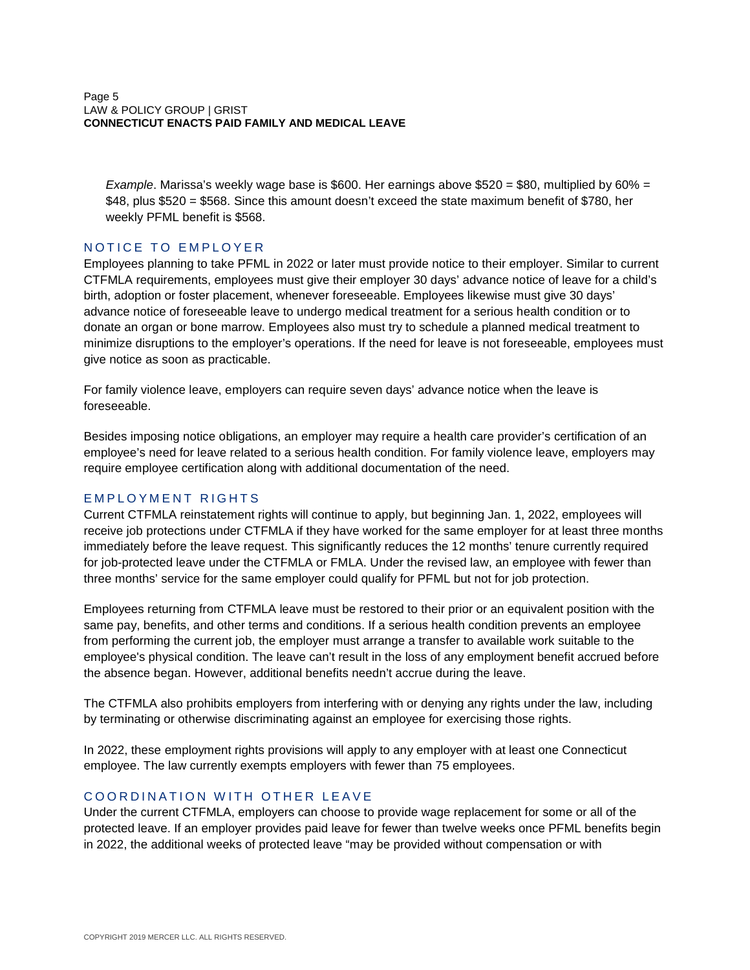*Example*. Marissa's weekly wage base is \$600. Her earnings above \$520 = \$80, multiplied by 60% = \$48, plus \$520 = \$568. Since this amount doesn't exceed the state maximum benefit of \$780, her weekly PFML benefit is \$568.

# <span id="page-4-0"></span>NOTICE TO EMPLOYER

Employees planning to take PFML in 2022 or later must provide notice to their employer. Similar to current CTFMLA requirements, employees must give their employer 30 days' advance notice of leave for a child's birth, adoption or foster placement, whenever foreseeable. Employees likewise must give 30 days' advance notice of foreseeable leave to undergo medical treatment for a serious health condition or to donate an organ or bone marrow. Employees also must try to schedule a planned medical treatment to minimize disruptions to the employer's operations. If the need for leave is not foreseeable, employees must give notice as soon as practicable.

For family violence leave, employers can require seven days' advance notice when the leave is foreseeable.

Besides imposing notice obligations, an employer may require a health care provider's certification of an employee's need for leave related to a serious health condition. For family violence leave, employers may require employee certification along with additional documentation of the need.

# <span id="page-4-1"></span>EMPLOYMENT RIGHTS

Current CTFMLA reinstatement rights will continue to apply, but beginning Jan. 1, 2022, employees will receive job protections under CTFMLA if they have worked for the same employer for at least three months immediately before the leave request. This significantly reduces the 12 months' tenure currently required for job-protected leave under the CTFMLA or FMLA. Under the revised law, an employee with fewer than three months' service for the same employer could qualify for PFML but not for job protection.

Employees returning from CTFMLA leave must be restored to their prior or an equivalent position with the same pay, benefits, and other terms and conditions. If a serious health condition prevents an employee from performing the current job, the employer must arrange a transfer to available work suitable to the employee's physical condition. The leave can't result in the loss of any employment benefit accrued before the absence began. However, additional benefits needn't accrue during the leave.

The CTFMLA also prohibits employers from interfering with or denying any rights under the law, including by terminating or otherwise discriminating against an employee for exercising those rights.

In 2022, these employment rights provisions will apply to any employer with at least one Connecticut employee. The law currently exempts employers with fewer than 75 employees.

# <span id="page-4-2"></span>COORDINATION WITH OTHER LEAVE

Under the current CTFMLA, employers can choose to provide wage replacement for some or all of the protected leave. If an employer provides paid leave for fewer than twelve weeks once PFML benefits begin in 2022, the additional weeks of protected leave "may be provided without compensation or with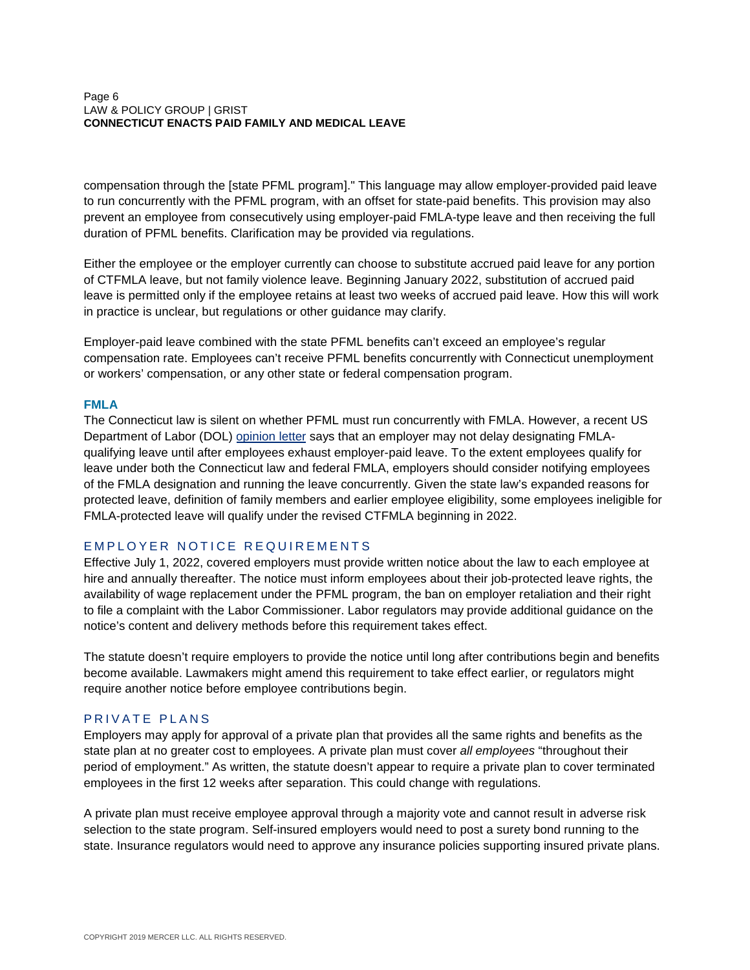#### Page 6 LAW & POLICY GROUP | GRIST **CONNECTICUT ENACTS PAID FAMILY AND MEDICAL LEAVE**

compensation through the [state PFML program]." This language may allow employer-provided paid leave to run concurrently with the PFML program, with an offset for state-paid benefits. This provision may also prevent an employee from consecutively using employer-paid FMLA-type leave and then receiving the full duration of PFML benefits. Clarification may be provided via regulations.

Either the employee or the employer currently can choose to substitute accrued paid leave for any portion of CTFMLA leave, but not family violence leave. Beginning January 2022, substitution of accrued paid leave is permitted only if the employee retains at least two weeks of accrued paid leave. How this will work in practice is unclear, but regulations or other guidance may clarify.

Employer-paid leave combined with the state PFML benefits can't exceed an employee's regular compensation rate. Employees can't receive PFML benefits concurrently with Connecticut unemployment or workers' compensation, or any other state or federal compensation program.

# **FMLA**

The Connecticut law is silent on whether PFML must run concurrently with FMLA. However, a recent US Department of Labor (DOL) [opinion letter](https://www.dol.gov/whd/opinion/FMLA/2019/2019_03_14_1A_FMLA.pdf) says that an employer may not delay designating FMLAqualifying leave until after employees exhaust employer-paid leave. To the extent employees qualify for leave under both the Connecticut law and federal FMLA, employers should consider notifying employees of the FMLA designation and running the leave concurrently. Given the state law's expanded reasons for protected leave, definition of family members and earlier employee eligibility, some employees ineligible for FMLA-protected leave will qualify under the revised CTFMLA beginning in 2022.

# <span id="page-5-0"></span>EMPLOYER NOTICE REQUIREMENTS

Effective July 1, 2022, covered employers must provide written notice about the law to each employee at hire and annually thereafter. The notice must inform employees about their job-protected leave rights, the availability of wage replacement under the PFML program, the ban on employer retaliation and their right to file a complaint with the Labor Commissioner. Labor regulators may provide additional guidance on the notice's content and delivery methods before this requirement takes effect.

The statute doesn't require employers to provide the notice until long after contributions begin and benefits become available. Lawmakers might amend this requirement to take effect earlier, or regulators might require another notice before employee contributions begin.

# <span id="page-5-1"></span>PRIVATE PLANS

Employers may apply for approval of a private plan that provides all the same rights and benefits as the state plan at no greater cost to employees. A private plan must cover *all employees* "throughout their period of employment." As written, the statute doesn't appear to require a private plan to cover terminated employees in the first 12 weeks after separation. This could change with regulations.

A private plan must receive employee approval through a majority vote and cannot result in adverse risk selection to the state program. Self-insured employers would need to post a surety bond running to the state. Insurance regulators would need to approve any insurance policies supporting insured private plans.